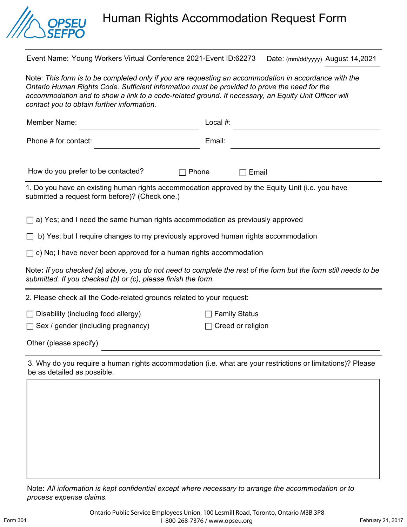

## Human Rights Accommodation Request Form

Event Name: Young Workers Virtual Conference 2021-Event ID:62273 Date: (mm/dd/yyyy) August 14,2021

Note: *This form is to be completed only if you are requesting an accommodation in accordance with the Ontario Human Rights Code. Sufficient information must be provided to prove the need for the*  accommodation and to show a link to a code-related ground. If necessary, an Equity Unit Officer will *contact you to obtain further information.* 

| Member Name:                                                                                                                                                                     | Local #:             |
|----------------------------------------------------------------------------------------------------------------------------------------------------------------------------------|----------------------|
| Phone # for contact:                                                                                                                                                             | Email:               |
| How do you prefer to be contacted?<br>Phone                                                                                                                                      | Email                |
| 1. Do you have an existing human rights accommodation approved by the Equity Unit (i.e. you have<br>submitted a request form before)? (Check one.)                               |                      |
| $\Box$ a) Yes; and I need the same human rights accommodation as previously approved                                                                                             |                      |
| b) Yes; but I require changes to my previously approved human rights accommodation                                                                                               |                      |
| $\Box$ c) No; I have never been approved for a human rights accommodation                                                                                                        |                      |
| Note: If you checked (a) above, you do not need to complete the rest of the form but the form still needs to be<br>submitted. If you checked (b) or (c), please finish the form. |                      |
| 2. Please check all the Code-related grounds related to your request:                                                                                                            |                      |
| $\Box$ Disability (including food allergy)                                                                                                                                       | <b>Family Status</b> |

 $\Box$  Sex / gender (including pregnancy)  $\Box$  Creed or religion

Other (please specify)

3. Why do you require a human rights accommodation (i.e. what are your restrictions or limitations)? Please be as detailed as possible.

Note**:** *All information is kept confidential except where necessary to arrange the accommodation or to process expense claims.*